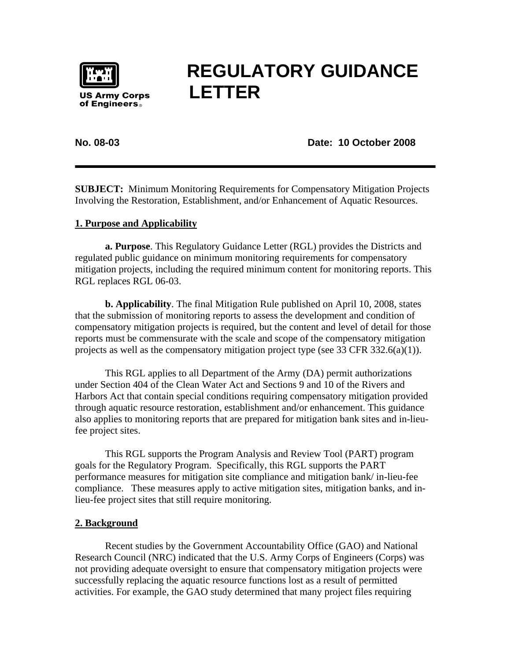

# **REGULATORY GUIDANCE LETTER**

## **No. 08-03 Date: 10 October 2008**

**SUBJECT:** Minimum Monitoring Requirements for Compensatory Mitigation Projects Involving the Restoration, Establishment, and/or Enhancement of Aquatic Resources.

## **1. Purpose and Applicability**

**a. Purpose**. This Regulatory Guidance Letter (RGL) provides the Districts and regulated public guidance on minimum monitoring requirements for compensatory mitigation projects, including the required minimum content for monitoring reports. This RGL replaces RGL 06-03.

**b. Applicability**. The final Mitigation Rule published on April 10, 2008, states that the submission of monitoring reports to assess the development and condition of compensatory mitigation projects is required, but the content and level of detail for those reports must be commensurate with the scale and scope of the compensatory mitigation projects as well as the compensatory mitigation project type (see 33 CFR 332.6(a)(1)).

This RGL applies to all Department of the Army (DA) permit authorizations under Section 404 of the Clean Water Act and Sections 9 and 10 of the Rivers and Harbors Act that contain special conditions requiring compensatory mitigation provided through aquatic resource restoration, establishment and/or enhancement. This guidance also applies to monitoring reports that are prepared for mitigation bank sites and in-lieufee project sites.

 This RGL supports the Program Analysis and Review Tool (PART) program goals for the Regulatory Program. Specifically, this RGL supports the PART performance measures for mitigation site compliance and mitigation bank/ in-lieu-fee compliance. These measures apply to active mitigation sites, mitigation banks, and inlieu-fee project sites that still require monitoring.

## **2. Background**

Recent studies by the Government Accountability Office (GAO) and National Research Council (NRC) indicated that the U.S. Army Corps of Engineers (Corps) was not providing adequate oversight to ensure that compensatory mitigation projects were successfully replacing the aquatic resource functions lost as a result of permitted activities. For example, the GAO study determined that many project files requiring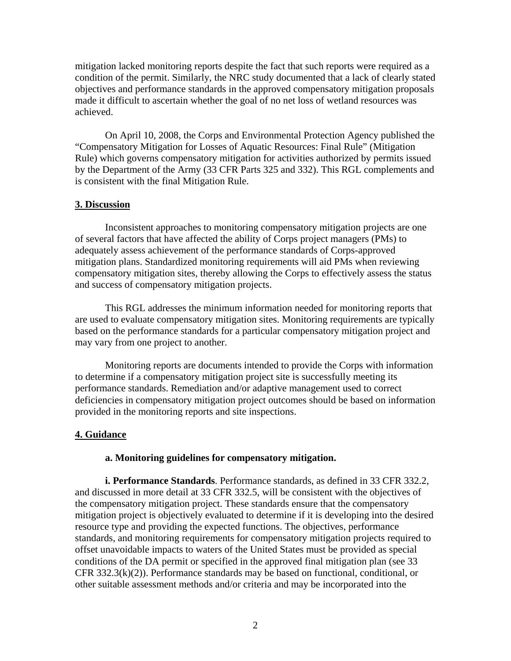mitigation lacked monitoring reports despite the fact that such reports were required as a condition of the permit. Similarly, the NRC study documented that a lack of clearly stated objectives and performance standards in the approved compensatory mitigation proposals made it difficult to ascertain whether the goal of no net loss of wetland resources was achieved.

On April 10, 2008, the Corps and Environmental Protection Agency published the "Compensatory Mitigation for Losses of Aquatic Resources: Final Rule" (Mitigation Rule) which governs compensatory mitigation for activities authorized by permits issued by the Department of the Army (33 CFR Parts 325 and 332). This RGL complements and is consistent with the final Mitigation Rule.

#### **3. Discussion**

Inconsistent approaches to monitoring compensatory mitigation projects are one of several factors that have affected the ability of Corps project managers (PMs) to adequately assess achievement of the performance standards of Corps-approved mitigation plans. Standardized monitoring requirements will aid PMs when reviewing compensatory mitigation sites, thereby allowing the Corps to effectively assess the status and success of compensatory mitigation projects.

This RGL addresses the minimum information needed for monitoring reports that are used to evaluate compensatory mitigation sites. Monitoring requirements are typically based on the performance standards for a particular compensatory mitigation project and may vary from one project to another.

Monitoring reports are documents intended to provide the Corps with information to determine if a compensatory mitigation project site is successfully meeting its performance standards. Remediation and/or adaptive management used to correct deficiencies in compensatory mitigation project outcomes should be based on information provided in the monitoring reports and site inspections.

#### **4. Guidance**

#### **a. Monitoring guidelines for compensatory mitigation.**

**i. Performance Standards**. Performance standards, as defined in 33 CFR 332.2, and discussed in more detail at 33 CFR 332.5, will be consistent with the objectives of the compensatory mitigation project. These standards ensure that the compensatory mitigation project is objectively evaluated to determine if it is developing into the desired resource type and providing the expected functions. The objectives, performance standards, and monitoring requirements for compensatory mitigation projects required to offset unavoidable impacts to waters of the United States must be provided as special conditions of the DA permit or specified in the approved final mitigation plan (see 33 CFR 332.3(k)(2)). Performance standards may be based on functional, conditional, or other suitable assessment methods and/or criteria and may be incorporated into the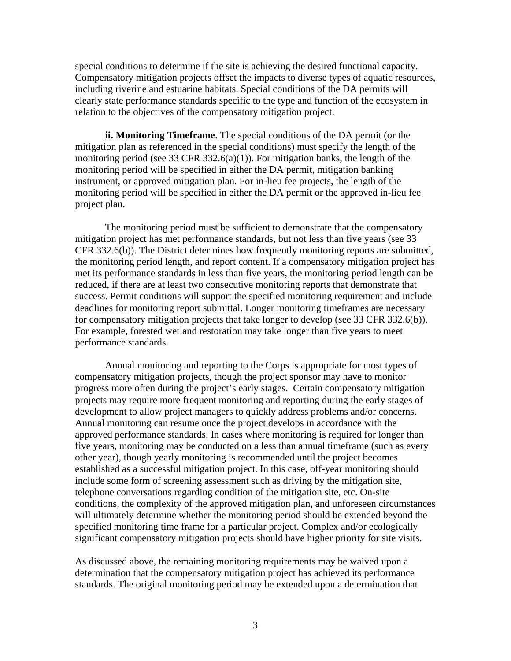special conditions to determine if the site is achieving the desired functional capacity. Compensatory mitigation projects offset the impacts to diverse types of aquatic resources, including riverine and estuarine habitats. Special conditions of the DA permits will clearly state performance standards specific to the type and function of the ecosystem in relation to the objectives of the compensatory mitigation project.

**ii. Monitoring Timeframe**. The special conditions of the DA permit (or the mitigation plan as referenced in the special conditions) must specify the length of the monitoring period (see 33 CFR 332.6(a)(1)). For mitigation banks, the length of the monitoring period will be specified in either the DA permit, mitigation banking instrument, or approved mitigation plan. For in-lieu fee projects, the length of the monitoring period will be specified in either the DA permit or the approved in-lieu fee project plan.

The monitoring period must be sufficient to demonstrate that the compensatory mitigation project has met performance standards, but not less than five years (see 33 CFR 332.6(b)). The District determines how frequently monitoring reports are submitted, the monitoring period length, and report content. If a compensatory mitigation project has met its performance standards in less than five years, the monitoring period length can be reduced, if there are at least two consecutive monitoring reports that demonstrate that success. Permit conditions will support the specified monitoring requirement and include deadlines for monitoring report submittal. Longer monitoring timeframes are necessary for compensatory mitigation projects that take longer to develop (see 33 CFR 332.6(b)). For example, forested wetland restoration may take longer than five years to meet performance standards.

Annual monitoring and reporting to the Corps is appropriate for most types of compensatory mitigation projects, though the project sponsor may have to monitor progress more often during the project's early stages. Certain compensatory mitigation projects may require more frequent monitoring and reporting during the early stages of development to allow project managers to quickly address problems and/or concerns. Annual monitoring can resume once the project develops in accordance with the approved performance standards. In cases where monitoring is required for longer than five years, monitoring may be conducted on a less than annual timeframe (such as every other year), though yearly monitoring is recommended until the project becomes established as a successful mitigation project. In this case, off-year monitoring should include some form of screening assessment such as driving by the mitigation site, telephone conversations regarding condition of the mitigation site, etc. On-site conditions, the complexity of the approved mitigation plan, and unforeseen circumstances will ultimately determine whether the monitoring period should be extended beyond the specified monitoring time frame for a particular project. Complex and/or ecologically significant compensatory mitigation projects should have higher priority for site visits.

As discussed above, the remaining monitoring requirements may be waived upon a determination that the compensatory mitigation project has achieved its performance standards. The original monitoring period may be extended upon a determination that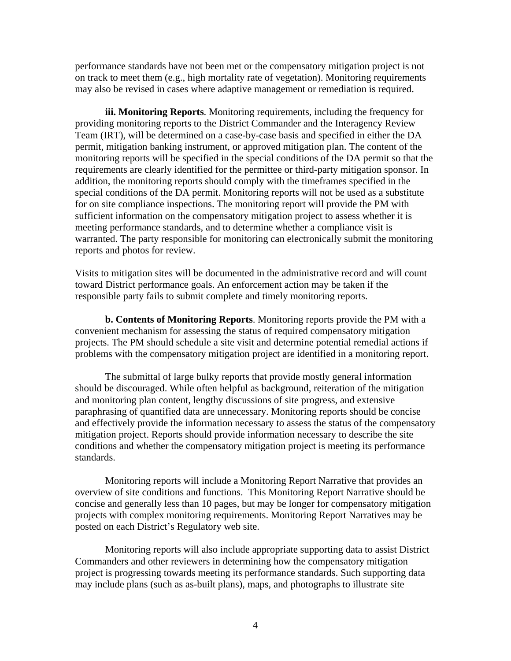performance standards have not been met or the compensatory mitigation project is not on track to meet them (e.g., high mortality rate of vegetation). Monitoring requirements may also be revised in cases where adaptive management or remediation is required.

**iii. Monitoring Reports**. Monitoring requirements, including the frequency for providing monitoring reports to the District Commander and the Interagency Review Team (IRT), will be determined on a case-by-case basis and specified in either the DA permit, mitigation banking instrument, or approved mitigation plan. The content of the monitoring reports will be specified in the special conditions of the DA permit so that the requirements are clearly identified for the permittee or third-party mitigation sponsor. In addition, the monitoring reports should comply with the timeframes specified in the special conditions of the DA permit. Monitoring reports will not be used as a substitute for on site compliance inspections. The monitoring report will provide the PM with sufficient information on the compensatory mitigation project to assess whether it is meeting performance standards, and to determine whether a compliance visit is warranted. The party responsible for monitoring can electronically submit the monitoring reports and photos for review.

Visits to mitigation sites will be documented in the administrative record and will count toward District performance goals. An enforcement action may be taken if the responsible party fails to submit complete and timely monitoring reports.

**b. Contents of Monitoring Reports**. Monitoring reports provide the PM with a convenient mechanism for assessing the status of required compensatory mitigation projects. The PM should schedule a site visit and determine potential remedial actions if problems with the compensatory mitigation project are identified in a monitoring report.

The submittal of large bulky reports that provide mostly general information should be discouraged. While often helpful as background, reiteration of the mitigation and monitoring plan content, lengthy discussions of site progress, and extensive paraphrasing of quantified data are unnecessary. Monitoring reports should be concise and effectively provide the information necessary to assess the status of the compensatory mitigation project. Reports should provide information necessary to describe the site conditions and whether the compensatory mitigation project is meeting its performance standards.

Monitoring reports will include a Monitoring Report Narrative that provides an overview of site conditions and functions. This Monitoring Report Narrative should be concise and generally less than 10 pages, but may be longer for compensatory mitigation projects with complex monitoring requirements. Monitoring Report Narratives may be posted on each District's Regulatory web site.

Monitoring reports will also include appropriate supporting data to assist District Commanders and other reviewers in determining how the compensatory mitigation project is progressing towards meeting its performance standards. Such supporting data may include plans (such as as-built plans), maps, and photographs to illustrate site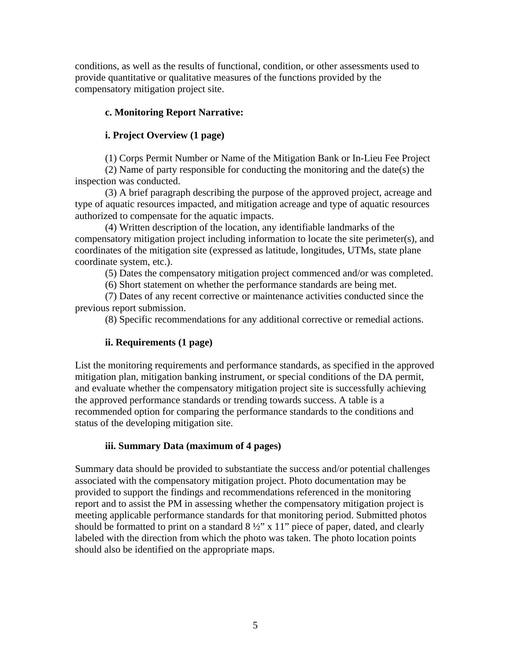conditions, as well as the results of functional, condition, or other assessments used to provide quantitative or qualitative measures of the functions provided by the compensatory mitigation project site.

## **c. Monitoring Report Narrative:**

## **i. Project Overview (1 page)**

(1) Corps Permit Number or Name of the Mitigation Bank or In-Lieu Fee Project

(2) Name of party responsible for conducting the monitoring and the date(s) the inspection was conducted.

(3) A brief paragraph describing the purpose of the approved project, acreage and type of aquatic resources impacted, and mitigation acreage and type of aquatic resources authorized to compensate for the aquatic impacts.

(4) Written description of the location, any identifiable landmarks of the compensatory mitigation project including information to locate the site perimeter(s), and coordinates of the mitigation site (expressed as latitude, longitudes, UTMs, state plane coordinate system, etc.).

(5) Dates the compensatory mitigation project commenced and/or was completed.

(6) Short statement on whether the performance standards are being met.

(7) Dates of any recent corrective or maintenance activities conducted since the previous report submission.

(8) Specific recommendations for any additional corrective or remedial actions.

# **ii. Requirements (1 page)**

List the monitoring requirements and performance standards, as specified in the approved mitigation plan, mitigation banking instrument, or special conditions of the DA permit, and evaluate whether the compensatory mitigation project site is successfully achieving the approved performance standards or trending towards success. A table is a recommended option for comparing the performance standards to the conditions and status of the developing mitigation site.

# **iii. Summary Data (maximum of 4 pages)**

Summary data should be provided to substantiate the success and/or potential challenges associated with the compensatory mitigation project. Photo documentation may be provided to support the findings and recommendations referenced in the monitoring report and to assist the PM in assessing whether the compensatory mitigation project is meeting applicable performance standards for that monitoring period. Submitted photos should be formatted to print on a standard  $8\frac{1}{2}$ " x 11" piece of paper, dated, and clearly labeled with the direction from which the photo was taken. The photo location points should also be identified on the appropriate maps.